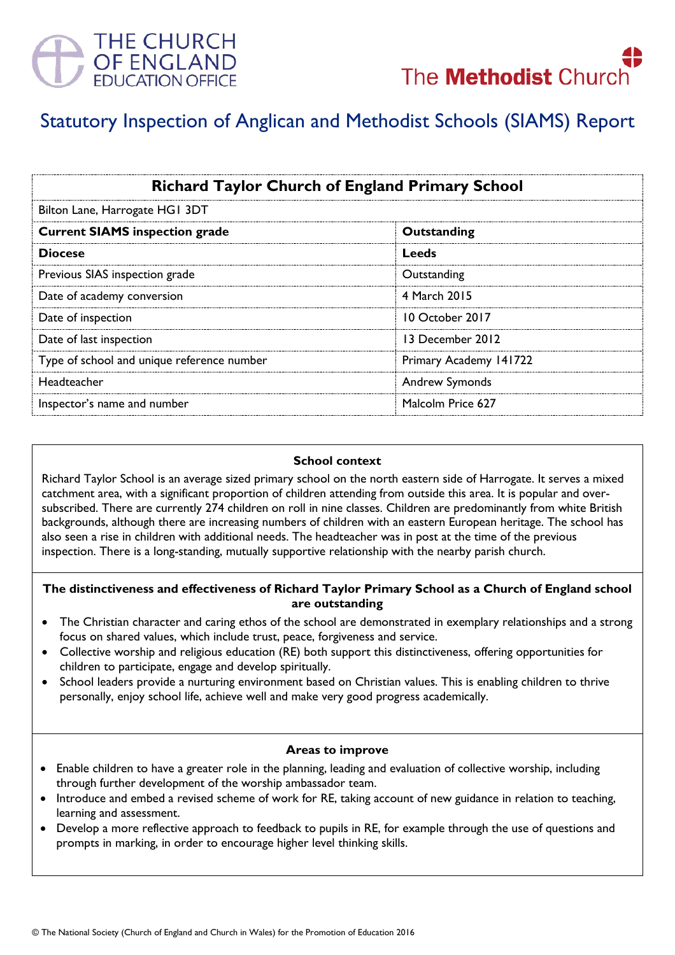



# Statutory Inspection of Anglican and Methodist Schools (SIAMS) Report

| <b>Richard Taylor Church of England Primary School</b><br>Bilton Lane, Harrogate HG1 3DT |                        |
|------------------------------------------------------------------------------------------|------------------------|
|                                                                                          |                        |
| <b>Diocese</b>                                                                           | Leeds                  |
| Previous SIAS inspection grade                                                           | Outstanding            |
| Date of academy conversion                                                               | 4 March 2015           |
| Date of inspection                                                                       | 10 October 2017        |
| Date of last inspection                                                                  | 13 December 2012       |
| Type of school and unique reference number                                               | Primary Academy 141722 |
| Headteacher                                                                              | <b>Andrew Symonds</b>  |
| Inspector's name and number                                                              | Malcolm Price 627      |

### **School context**

Richard Taylor School is an average sized primary school on the north eastern side of Harrogate. It serves a mixed catchment area, with a significant proportion of children attending from outside this area. It is popular and oversubscribed. There are currently 274 children on roll in nine classes. Children are predominantly from white British backgrounds, although there are increasing numbers of children with an eastern European heritage. The school has also seen a rise in children with additional needs. The headteacher was in post at the time of the previous inspection. There is a long-standing, mutually supportive relationship with the nearby parish church.

## **The distinctiveness and effectiveness of Richard Taylor Primary School as a Church of England school are outstanding**

- The Christian character and caring ethos of the school are demonstrated in exemplary relationships and a strong focus on shared values, which include trust, peace, forgiveness and service.
- Collective worship and religious education (RE) both support this distinctiveness, offering opportunities for children to participate, engage and develop spiritually.
- School leaders provide a nurturing environment based on Christian values. This is enabling children to thrive personally, enjoy school life, achieve well and make very good progress academically.

### **Areas to improve**

- Enable children to have a greater role in the planning, leading and evaluation of collective worship, including through further development of the worship ambassador team.
- Introduce and embed a revised scheme of work for RE, taking account of new guidance in relation to teaching, learning and assessment.
- Develop a more reflective approach to feedback to pupils in RE, for example through the use of questions and prompts in marking, in order to encourage higher level thinking skills.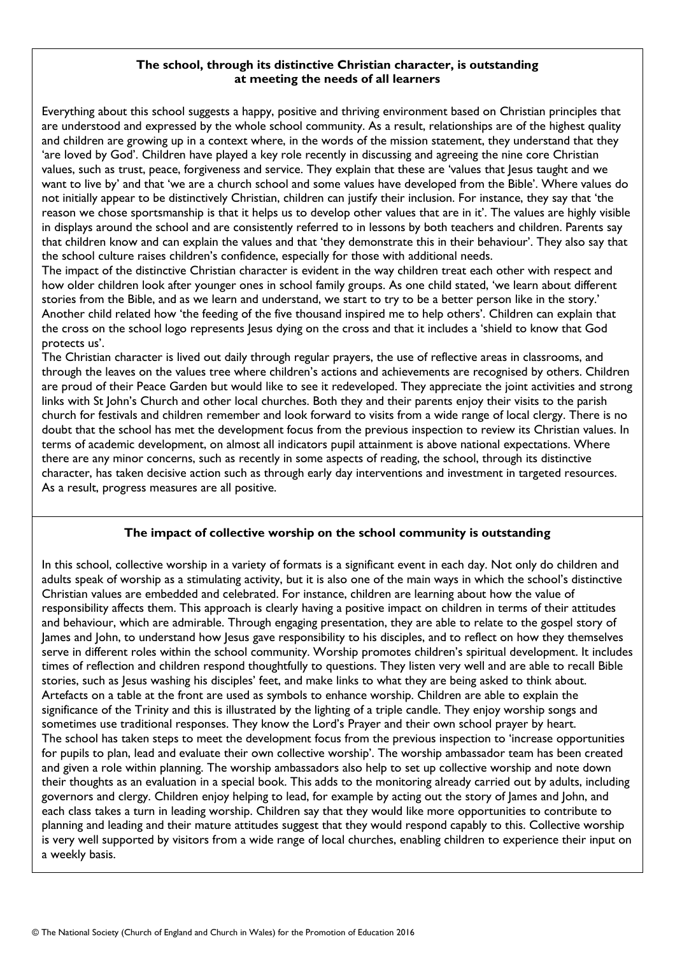## **The school, through its distinctive Christian character, is outstanding at meeting the needs of all learners**

Everything about this school suggests a happy, positive and thriving environment based on Christian principles that are understood and expressed by the whole school community. As a result, relationships are of the highest quality and children are growing up in a context where, in the words of the mission statement, they understand that they 'are loved by God'. Children have played a key role recently in discussing and agreeing the nine core Christian values, such as trust, peace, forgiveness and service. They explain that these are 'values that Jesus taught and we want to live by' and that 'we are a church school and some values have developed from the Bible'. Where values do not initially appear to be distinctively Christian, children can justify their inclusion. For instance, they say that 'the reason we chose sportsmanship is that it helps us to develop other values that are in it'. The values are highly visible in displays around the school and are consistently referred to in lessons by both teachers and children. Parents say that children know and can explain the values and that 'they demonstrate this in their behaviour'. They also say that the school culture raises children's confidence, especially for those with additional needs.

The impact of the distinctive Christian character is evident in the way children treat each other with respect and how older children look after younger ones in school family groups. As one child stated, 'we learn about different stories from the Bible, and as we learn and understand, we start to try to be a better person like in the story.' Another child related how 'the feeding of the five thousand inspired me to help others'. Children can explain that the cross on the school logo represents Jesus dying on the cross and that it includes a 'shield to know that God protects us'.

The Christian character is lived out daily through regular prayers, the use of reflective areas in classrooms, and through the leaves on the values tree where children's actions and achievements are recognised by others. Children are proud of their Peace Garden but would like to see it redeveloped. They appreciate the joint activities and strong links with St John's Church and other local churches. Both they and their parents enjoy their visits to the parish church for festivals and children remember and look forward to visits from a wide range of local clergy. There is no doubt that the school has met the development focus from the previous inspection to review its Christian values. In terms of academic development, on almost all indicators pupil attainment is above national expectations. Where there are any minor concerns, such as recently in some aspects of reading, the school, through its distinctive character, has taken decisive action such as through early day interventions and investment in targeted resources. As a result, progress measures are all positive.

# **The impact of collective worship on the school community is outstanding**

In this school, collective worship in a variety of formats is a significant event in each day. Not only do children and adults speak of worship as a stimulating activity, but it is also one of the main ways in which the school's distinctive Christian values are embedded and celebrated. For instance, children are learning about how the value of responsibility affects them. This approach is clearly having a positive impact on children in terms of their attitudes and behaviour, which are admirable. Through engaging presentation, they are able to relate to the gospel story of James and John, to understand how Jesus gave responsibility to his disciples, and to reflect on how they themselves serve in different roles within the school community. Worship promotes children's spiritual development. It includes times of reflection and children respond thoughtfully to questions. They listen very well and are able to recall Bible stories, such as Jesus washing his disciples' feet, and make links to what they are being asked to think about. Artefacts on a table at the front are used as symbols to enhance worship. Children are able to explain the significance of the Trinity and this is illustrated by the lighting of a triple candle. They enjoy worship songs and sometimes use traditional responses. They know the Lord's Prayer and their own school prayer by heart. The school has taken steps to meet the development focus from the previous inspection to 'increase opportunities for pupils to plan, lead and evaluate their own collective worship'. The worship ambassador team has been created and given a role within planning. The worship ambassadors also help to set up collective worship and note down their thoughts as an evaluation in a special book. This adds to the monitoring already carried out by adults, including governors and clergy. Children enjoy helping to lead, for example by acting out the story of James and John, and each class takes a turn in leading worship. Children say that they would like more opportunities to contribute to planning and leading and their mature attitudes suggest that they would respond capably to this. Collective worship is very well supported by visitors from a wide range of local churches, enabling children to experience their input on a weekly basis.